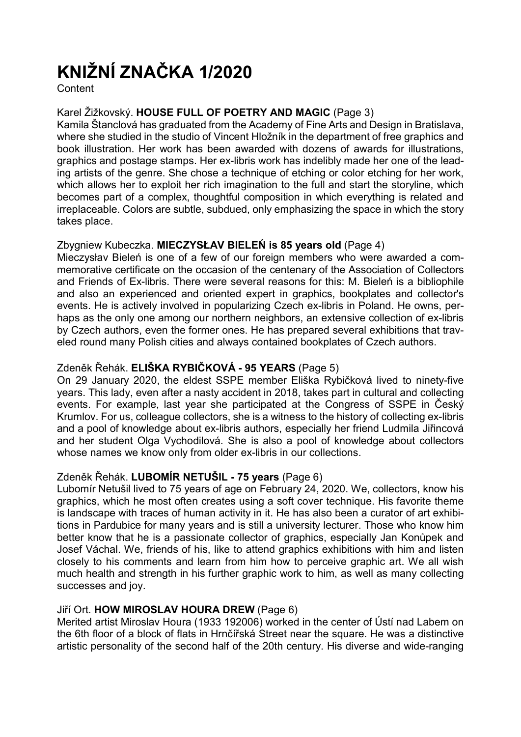# KNIŽNÍ ZNAČKA 1/2020

**Content** 

# Karel Žižkovský. HOUSE FULL OF POETRY AND MAGIC (Page 3)

Kamila Štanclová has graduated from the Academy of Fine Arts and Design in Bratislava, where she studied in the studio of Vincent Hložník in the department of free graphics and book illustration. Her work has been awarded with dozens of awards for illustrations, graphics and postage stamps. Her ex-libris work has indelibly made her one of the leading artists of the genre. She chose a technique of etching or color etching for her work, which allows her to exploit her rich imagination to the full and start the storyline, which becomes part of a complex, thoughtful composition in which everything is related and irreplaceable. Colors are subtle, subdued, only emphasizing the space in which the story takes place.

## Zbygniew Kubeczka. MIECZYSŁAV BIELEŃ is 85 years old (Page 4)

Mieczysłav Bieleń is one of a few of our foreign members who were awarded a commemorative certificate on the occasion of the centenary of the Association of Collectors and Friends of Ex-libris. There were several reasons for this: M. Bieleń is a bibliophile and also an experienced and oriented expert in graphics, bookplates and collector's events. He is actively involved in popularizing Czech ex-libris in Poland. He owns, perhaps as the only one among our northern neighbors, an extensive collection of ex-libris by Czech authors, even the former ones. He has prepared several exhibitions that traveled round many Polish cities and always contained bookplates of Czech authors.

# Zdeněk Řehák. ELIŠKA RYBIČKOVÁ - 95 YEARS (Page 5)

On 29 January 2020, the eldest SSPE member Eliška Rybičková lived to ninety-five years. This lady, even after a nasty accident in 2018, takes part in cultural and collecting events. For example, last year she participated at the Congress of SSPE in Český Krumlov. For us, colleague collectors, she is a witness to the history of collecting ex-libris and a pool of knowledge about ex-libris authors, especially her friend Ludmila Jiřincová and her student Olga Vychodilová. She is also a pool of knowledge about collectors whose names we know only from older ex-libris in our collections.

# Zdeněk Řehák. LUBOMÍR NETUŠIL - 75 years (Page 6)

Lubomír Netušil lived to 75 years of age on February 24, 2020. We, collectors, know his graphics, which he most often creates using a soft cover technique. His favorite theme is landscape with traces of human activity in it. He has also been a curator of art exhibitions in Pardubice for many years and is still a university lecturer. Those who know him better know that he is a passionate collector of graphics, especially Jan Konůpek and Josef Váchal. We, friends of his, like to attend graphics exhibitions with him and listen closely to his comments and learn from him how to perceive graphic art. We all wish much health and strength in his further graphic work to him, as well as many collecting successes and joy.

# Jiří Ort. HOW MIROSLAV HOURA DREW (Page 6)

Merited artist Miroslav Houra (1933 192006) worked in the center of Ústí nad Labem on the 6th floor of a block of flats in Hrnčířská Street near the square. He was a distinctive artistic personality of the second half of the 20th century. His diverse and wide-ranging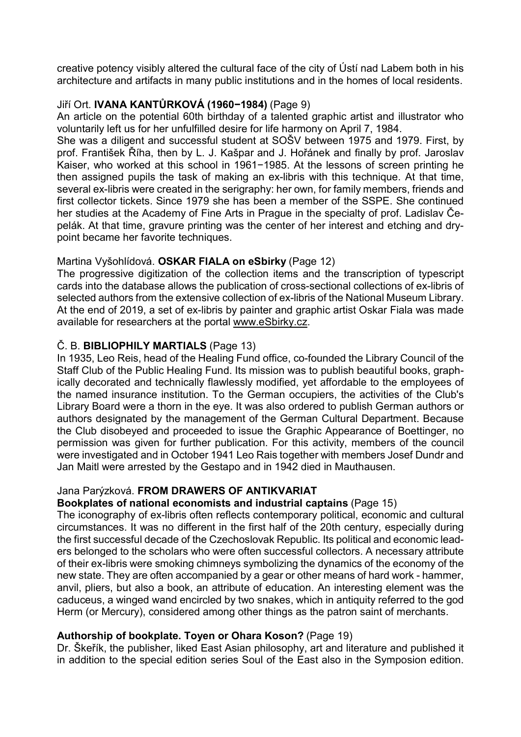creative potency visibly altered the cultural face of the city of Ústí nad Labem both in his architecture and artifacts in many public institutions and in the homes of local residents.

## Jiří Ort. IVANA KANTŮRKOVÁ (1960−1984) (Page 9)

An article on the potential 60th birthday of a talented graphic artist and illustrator who voluntarily left us for her unfulfilled desire for life harmony on April 7, 1984.

She was a diligent and successful student at SOŠV between 1975 and 1979. First, by prof. František Říha, then by L. J. Kašpar and J. Hořánek and finally by prof. Jaroslav Kaiser, who worked at this school in 1961−1985. At the lessons of screen printing he then assigned pupils the task of making an ex-libris with this technique. At that time, several ex-libris were created in the serigraphy: her own, for family members, friends and first collector tickets. Since 1979 she has been a member of the SSPE. She continued her studies at the Academy of Fine Arts in Prague in the specialty of prof. Ladislav Čepelák. At that time, gravure printing was the center of her interest and etching and drypoint became her favorite techniques.

## Martina Vyšohlídová. OSKAR FIALA on eSbirky (Page 12)

The progressive digitization of the collection items and the transcription of typescript cards into the database allows the publication of cross-sectional collections of ex-libris of selected authors from the extensive collection of ex-libris of the National Museum Library. At the end of 2019, a set of ex-libris by painter and graphic artist Oskar Fiala was made available for researchers at the portal www.eSbirky.cz.

## Č. B. BIBLIOPHILY MARTIALS (Page 13)

In 1935, Leo Reis, head of the Healing Fund office, co-founded the Library Council of the Staff Club of the Public Healing Fund. Its mission was to publish beautiful books, graphically decorated and technically flawlessly modified, yet affordable to the employees of the named insurance institution. To the German occupiers, the activities of the Club's Library Board were a thorn in the eye. It was also ordered to publish German authors or authors designated by the management of the German Cultural Department. Because the Club disobeyed and proceeded to issue the Graphic Appearance of Boettinger, no permission was given for further publication. For this activity, members of the council were investigated and in October 1941 Leo Rais together with members Josef Dundr and Jan Maitl were arrested by the Gestapo and in 1942 died in Mauthausen.

#### Jana Parýzková. FROM DRAWERS OF ANTIKVARIAT

#### Bookplates of national economists and industrial captains (Page 15)

The iconography of ex-libris often reflects contemporary political, economic and cultural circumstances. It was no different in the first half of the 20th century, especially during the first successful decade of the Czechoslovak Republic. Its political and economic leaders belonged to the scholars who were often successful collectors. A necessary attribute of their ex-libris were smoking chimneys symbolizing the dynamics of the economy of the new state. They are often accompanied by a gear or other means of hard work - hammer, anvil, pliers, but also a book, an attribute of education. An interesting element was the caduceus, a winged wand encircled by two snakes, which in antiquity referred to the god Herm (or Mercury), considered among other things as the patron saint of merchants.

#### Authorship of bookplate. Toyen or Ohara Koson? (Page 19)

Dr. Škeřík, the publisher, liked East Asian philosophy, art and literature and published it in addition to the special edition series Soul of the East also in the Symposion edition.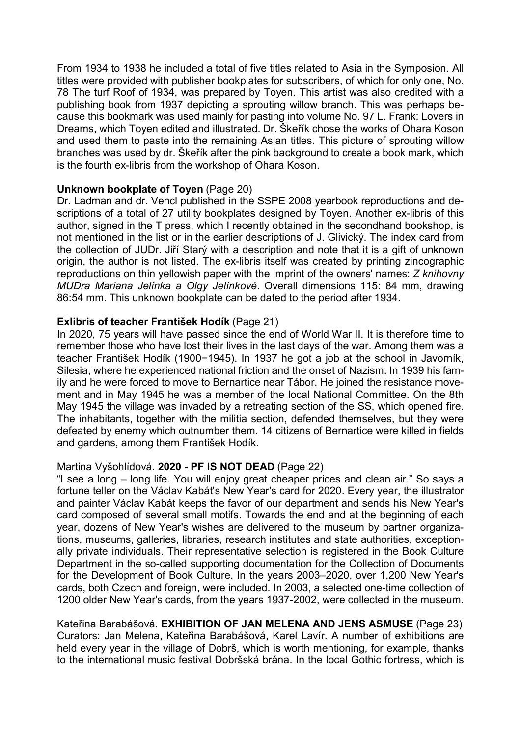From 1934 to 1938 he included a total of five titles related to Asia in the Symposion. All titles were provided with publisher bookplates for subscribers, of which for only one, No. 78 The turf Roof of 1934, was prepared by Toyen. This artist was also credited with a publishing book from 1937 depicting a sprouting willow branch. This was perhaps because this bookmark was used mainly for pasting into volume No. 97 L. Frank: Lovers in Dreams, which Toyen edited and illustrated. Dr. Škeřík chose the works of Ohara Koson and used them to paste into the remaining Asian titles. This picture of sprouting willow branches was used by dr. Škeřík after the pink background to create a book mark, which is the fourth ex-libris from the workshop of Ohara Koson.

#### Unknown bookplate of Toyen (Page 20)

Dr. Ladman and dr. Vencl published in the SSPE 2008 yearbook reproductions and descriptions of a total of 27 utility bookplates designed by Toyen. Another ex-libris of this author, signed in the T press, which I recently obtained in the secondhand bookshop, is not mentioned in the list or in the earlier descriptions of J. Glivický. The index card from the collection of JUDr. Jiří Starý with a description and note that it is a gift of unknown origin, the author is not listed. The ex-libris itself was created by printing zincographic reproductions on thin yellowish paper with the imprint of the owners' names: Z knihovny MUDra Mariana Jelínka a Olgy Jelínkové. Overall dimensions 115: 84 mm, drawing 86:54 mm. This unknown bookplate can be dated to the period after 1934.

#### Exlibris of teacher František Hodík (Page 21)

In 2020, 75 years will have passed since the end of World War II. It is therefore time to remember those who have lost their lives in the last days of the war. Among them was a teacher František Hodík (1900−1945). In 1937 he got a job at the school in Javorník, Silesia, where he experienced national friction and the onset of Nazism. In 1939 his family and he were forced to move to Bernartice near Tábor. He joined the resistance movement and in May 1945 he was a member of the local National Committee. On the 8th May 1945 the village was invaded by a retreating section of the SS, which opened fire. The inhabitants, together with the militia section, defended themselves, but they were defeated by enemy which outnumber them. 14 citizens of Bernartice were killed in fields and gardens, among them František Hodík.

#### Martina Vyšohlídová. 2020 - PF IS NOT DEAD (Page 22)

"I see a long – long life. You will enjoy great cheaper prices and clean air." So says a fortune teller on the Václav Kabát's New Year's card for 2020. Every year, the illustrator and painter Václav Kabát keeps the favor of our department and sends his New Year's card composed of several small motifs. Towards the end and at the beginning of each year, dozens of New Year's wishes are delivered to the museum by partner organizations, museums, galleries, libraries, research institutes and state authorities, exceptionally private individuals. Their representative selection is registered in the Book Culture Department in the so-called supporting documentation for the Collection of Documents for the Development of Book Culture. In the years 2003–2020, over 1,200 New Year's cards, both Czech and foreign, were included. In 2003, a selected one-time collection of 1200 older New Year's cards, from the years 1937-2002, were collected in the museum.

Kateřina Barabášová. EXHIBITION OF JAN MELENA AND JENS ASMUSE (Page 23) Curators: Jan Melena, Kateřina Barabášová, Karel Lavír. A number of exhibitions are held every year in the village of Dobrš, which is worth mentioning, for example, thanks to the international music festival Dobršská brána. In the local Gothic fortress, which is